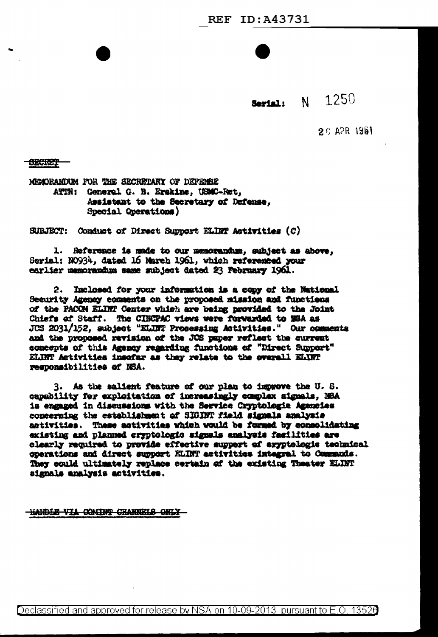**Serial:** N 1250

 $2C$  APR 1961

**SECRET** 

MENORANDUM FOR THE SECRETARY OF DEPENSE ATIN: General G. B. Erskine, USMC-Ret, Assistant to the Secretary of Defense. Special Operations)

SUBJECT: Conduct of Direct Support ELIMT Activities (C)

1. Reference is made to our memorandum, subject as above, Serial: N0934, dated 16 March 1961, which referenced your earlier memorandum same subject dated 23 February 1961.

Inclosed for your information is a copy of the National  $2.$ Security Agency comments on the proposed mission and functions of the PACOM ELINT Center which are being provided to the Joint Chiefs of Staff. The CIBCPAC views were forwarded to BSA as JOS 2031/152, subject "ELINT Prosessing Astivities." Our comments and the proposed revision of the JCS paper reflect the current concepts of this Agency regarding functions of "Direct Support" ELINT Activities insofar as they relate to the overall ELINT responsibilities of NSA.

3. As the salient feature of our plan to improve the U.S. capability for exploitation of increasingly complex signals, NBA is engaged in discussions with the Service Cryptologie Agencies concerning the establishment of SIGINT field signals analysis activities. These activities which would be formed by consolidating existing and planned cryptologic signals analysis facilities are clearly required to provide effective support of eryptologic technical operations and direct support ELINT activities integral to Commands. They could ultimately replace certain of the existing Theater ELINT signals analysis activities.

**HANDLE VIA COMINT CHANNELS ONLY**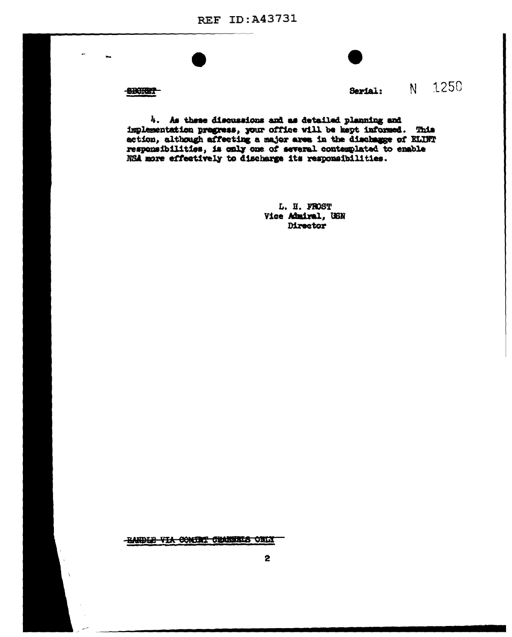**REF ID: A43731** 

**SBORET** 



**Serial:** N 1250

4. As these discussions and as detailed planning and implementation progress, your office will be kept informed. This action, although affecting a major area in the discharge of ELIFT responsibilities, is only one of several contemplated to enable NSA more effectively to discharge its responsibilities.

> L. II. FROST Vice Admiral, USN **Director**

**HANDLE VIA COMBAT CHANNELS ONLY**